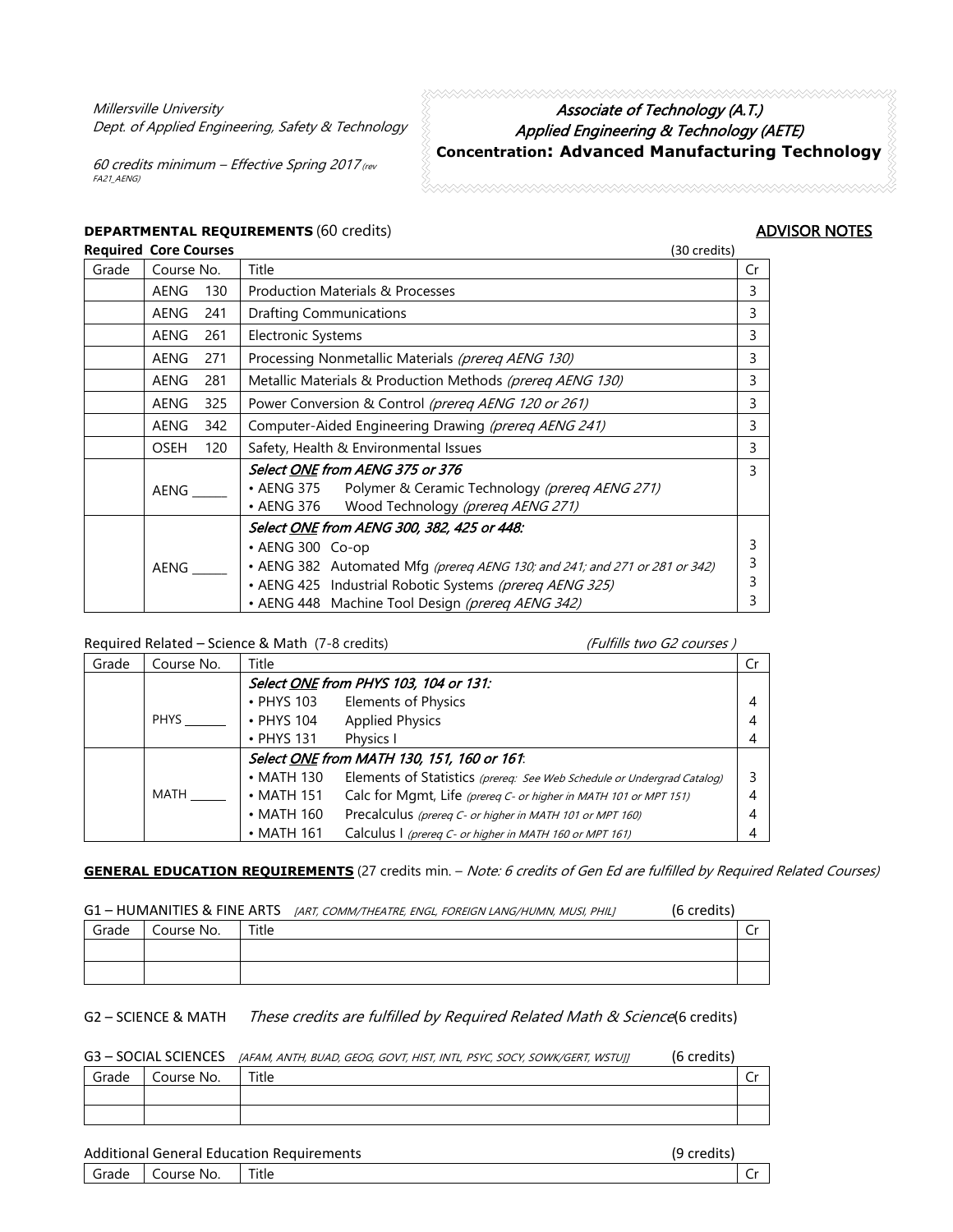Millersville University Dept. of Applied Engineering, Safety & Technology

60 credits minimum – Effective Spring 2017 (rev FA21\_AENG)

## Associate of Technology (A.T.) Applied Engineering & Technology (AETE) **Concentration: Advanced Manufacturing Technology**

# **DEPARTMENTAL REQUIREMENTS** (60 credits) **ADVISOR NOTES**<br> **Required Core Courses** (30 credits) **ADVISOR NOTES**

### **Required Core Courses**

| Grade | Course No.                                                                |     | Title                                                                                                                                                                                                                                                       | Cr               |
|-------|---------------------------------------------------------------------------|-----|-------------------------------------------------------------------------------------------------------------------------------------------------------------------------------------------------------------------------------------------------------------|------------------|
|       | AENG                                                                      | 130 | <b>Production Materials &amp; Processes</b>                                                                                                                                                                                                                 | 3                |
|       | <b>AENG</b>                                                               | 241 | <b>Drafting Communications</b>                                                                                                                                                                                                                              | 3                |
|       | <b>AENG</b>                                                               | 261 | <b>Electronic Systems</b>                                                                                                                                                                                                                                   | 3                |
|       | AENG                                                                      | 271 | Processing Nonmetallic Materials (prereg AENG 130)                                                                                                                                                                                                          | 3                |
|       | <b>AENG</b>                                                               | 281 | Metallic Materials & Production Methods (prereq AENG 130)                                                                                                                                                                                                   | 3                |
|       | Power Conversion & Control (prereg AENG 120 or 261)<br><b>AENG</b><br>325 |     |                                                                                                                                                                                                                                                             | 3                |
|       | <b>AENG</b>                                                               | 342 | Computer-Aided Engineering Drawing (prereq AENG 241)                                                                                                                                                                                                        | 3                |
|       | <b>OSEH</b>                                                               | 120 | Safety, Health & Environmental Issues                                                                                                                                                                                                                       | 3                |
|       | AENG                                                                      |     | Select ONE from AENG 375 or 376<br>• AENG 375 Polymer & Ceramic Technology (prereq AENG 271)<br>• AENG 376 Wood Technology (prereq AENG 271)                                                                                                                | 3                |
|       | AENG                                                                      |     | Select ONE from AENG 300, 382, 425 or 448:<br>• AENG 300 Co-op<br>• AENG 382 Automated Mfg (prereq AENG 130; and 241; and 271 or 281 or 342)<br>• AENG 425 Industrial Robotic Systems (prereq AENG 325)<br>• AENG 448 Machine Tool Design (prereq AENG 342) | 3<br>3<br>3<br>3 |

Required Related – Science & Math (7-8 credits) (Fulfills two G2 courses )

| Grade                                      | Course No.  | Title            |                                                                        |  |  |
|--------------------------------------------|-------------|------------------|------------------------------------------------------------------------|--|--|
|                                            |             |                  | Select ONE from PHYS 103, 104 or 131:                                  |  |  |
|                                            |             | $\cdot$ PHYS 103 | <b>Elements of Physics</b>                                             |  |  |
|                                            | <b>PHYS</b> | • PHYS 104       | <b>Applied Physics</b>                                                 |  |  |
|                                            |             | $\cdot$ PHYS 131 | Physics I                                                              |  |  |
| Select ONE from MATH 130, 151, 160 or 161: |             |                  |                                                                        |  |  |
|                                            |             | $\cdot$ MATH 130 | Elements of Statistics (prereq: See Web Schedule or Undergrad Catalog) |  |  |
|                                            | MATH        | $\cdot$ MATH 151 | Calc for Mgmt, Life (prereq C- or higher in MATH 101 or MPT 151)       |  |  |
|                                            |             | $\cdot$ MATH 160 | Precalculus (prereq C- or higher in MATH 101 or MPT 160)               |  |  |
|                                            |             | $\cdot$ MATH 161 | Calculus I (prereq C- or higher in MATH 160 or MPT 161)                |  |  |

**GENERAL EDUCATION REQUIREMENTS** (27 credits min. – Note: 6 credits of Gen Ed are fulfilled by Required Related Courses)

#### G1 – HUMANITIES & FINE ARTS *(ART, COMM/THEATRE, ENGL, FOREIGN LANG/HUMN, MUSI, PHILI* (6 credits)

|       |            |       | 1 |   |
|-------|------------|-------|---|---|
| Grade | Course No. | Title |   | ◡ |
|       |            |       |   |   |
|       |            |       |   |   |

#### G2 – SCIENCE & MATH These credits are fulfilled by Required Related Math & Science(6 credits)

G3 - SOCIAL SCIENCES [AFAM, ANTH, BUAD, GEOG, GOVT, HIST, INTL, PSYC, SOCY, SOWK/GERT, WSTUJ] (6 credits)

| Grade | Course No. | Title |  |
|-------|------------|-------|--|
|       |            |       |  |
|       |            |       |  |

Additional General Education Requirements (9 credits)

Grade | Course No. | Title | Creative Creative Creative Creative Creative Creative Creative Creative Creative